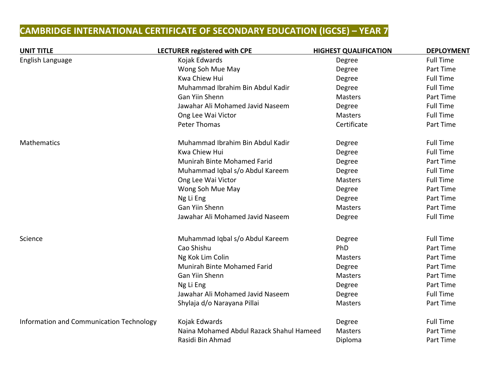## **CAMBRIDGE INTERNATIONAL CERTIFICATE OF SECONDARY EDUCATION (IGCSE) – YEAR 7**

| <b>UNIT TITLE</b>                        | <b>LECTURER registered with CPE</b>      | <b>HIGHEST QUALIFICATION</b> | <b>DEPLOYMENT</b> |
|------------------------------------------|------------------------------------------|------------------------------|-------------------|
| English Language                         | Kojak Edwards                            | Degree                       | <b>Full Time</b>  |
|                                          | Wong Soh Mue May                         | Degree                       | Part Time         |
|                                          | Kwa Chiew Hui                            | Degree                       | <b>Full Time</b>  |
|                                          | Muhammad Ibrahim Bin Abdul Kadir         | Degree                       | <b>Full Time</b>  |
|                                          | Gan Yiin Shenn                           | Masters                      | Part Time         |
|                                          | Jawahar Ali Mohamed Javid Naseem         | Degree                       | <b>Full Time</b>  |
|                                          | Ong Lee Wai Victor                       | <b>Masters</b>               | <b>Full Time</b>  |
|                                          | Peter Thomas                             | Certificate                  | Part Time         |
| Mathematics                              | Muhammad Ibrahim Bin Abdul Kadir         | Degree                       | <b>Full Time</b>  |
|                                          | <b>Kwa Chiew Hui</b>                     | Degree                       | <b>Full Time</b>  |
|                                          | <b>Munirah Binte Mohamed Farid</b>       | Degree                       | Part Time         |
|                                          | Muhammad Iqbal s/o Abdul Kareem          | Degree                       | <b>Full Time</b>  |
|                                          | Ong Lee Wai Victor                       | <b>Masters</b>               | <b>Full Time</b>  |
|                                          | Wong Soh Mue May                         | Degree                       | Part Time         |
|                                          | Ng Li Eng                                | Degree                       | Part Time         |
|                                          | Gan Yiin Shenn                           | <b>Masters</b>               | Part Time         |
|                                          | Jawahar Ali Mohamed Javid Naseem         | Degree                       | <b>Full Time</b>  |
| Science                                  | Muhammad Iqbal s/o Abdul Kareem          | Degree                       | <b>Full Time</b>  |
|                                          | Cao Shishu                               | PhD                          | Part Time         |
|                                          | Ng Kok Lim Colin                         | <b>Masters</b>               | Part Time         |
|                                          | Munirah Binte Mohamed Farid              | Degree                       | Part Time         |
|                                          | Gan Yiin Shenn                           | <b>Masters</b>               | Part Time         |
|                                          | Ng Li Eng                                | Degree                       | Part Time         |
|                                          | Jawahar Ali Mohamed Javid Naseem         | Degree                       | <b>Full Time</b>  |
|                                          | Shylaja d/o Narayana Pillai              | <b>Masters</b>               | Part Time         |
| Information and Communication Technology | Kojak Edwards                            | Degree                       | <b>Full Time</b>  |
|                                          | Naina Mohamed Abdul Razack Shahul Hameed | <b>Masters</b>               | Part Time         |
|                                          | Rasidi Bin Ahmad                         | Diploma                      | Part Time         |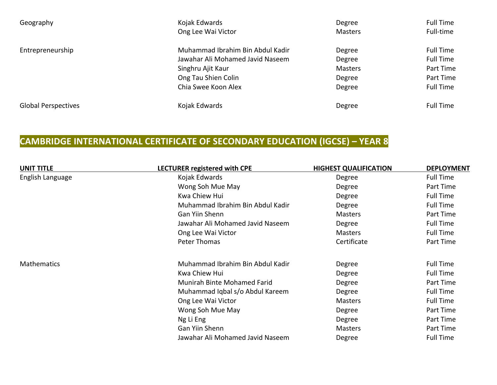| Geography                  | Kojak Edwards<br>Ong Lee Wai Victor                                  | Degree<br><b>Masters</b> | <b>Full Time</b><br>Full-time |
|----------------------------|----------------------------------------------------------------------|--------------------------|-------------------------------|
| Entrepreneurship           | Muhammad Ibrahim Bin Abdul Kadir<br>Jawahar Ali Mohamed Javid Naseem | Degree<br>Degree         | Full Time<br><b>Full Time</b> |
|                            | Singhru Ajit Kaur                                                    | <b>Masters</b>           | Part Time                     |
|                            | Ong Tau Shien Colin                                                  | Degree                   | Part Time                     |
|                            | Chia Swee Koon Alex                                                  | Degree                   | <b>Full Time</b>              |
| <b>Global Perspectives</b> | Kojak Edwards                                                        | Degree                   | <b>Full Time</b>              |

## **CAMBRIDGE INTERNATIONAL CERTIFICATE OF SECONDARY EDUCATION (IGCSE) – YEAR 8**

| <b>UNIT TITLE</b>  | LECTURER registered with CPE     | <b>HIGHEST QUALIFICATION</b> | <b>DEPLOYMENT</b> |
|--------------------|----------------------------------|------------------------------|-------------------|
| English Language   | Kojak Edwards                    | Degree                       | <b>Full Time</b>  |
|                    | Wong Soh Mue May                 | Degree                       | Part Time         |
|                    | Kwa Chiew Hui                    | Degree                       | <b>Full Time</b>  |
|                    | Muhammad Ibrahim Bin Abdul Kadir | Degree                       | <b>Full Time</b>  |
|                    | Gan Yiin Shenn                   | Masters                      | Part Time         |
|                    | Jawahar Ali Mohamed Javid Naseem | Degree                       | <b>Full Time</b>  |
|                    | Ong Lee Wai Victor               | <b>Masters</b>               | <b>Full Time</b>  |
|                    | Peter Thomas                     | Certificate                  | Part Time         |
| <b>Mathematics</b> | Muhammad Ibrahim Bin Abdul Kadir | Degree                       | <b>Full Time</b>  |
|                    | Kwa Chiew Hui                    | Degree                       | <b>Full Time</b>  |
|                    | Munirah Binte Mohamed Farid      | Degree                       | Part Time         |
|                    | Muhammad Iqbal s/o Abdul Kareem  | Degree                       | <b>Full Time</b>  |
|                    | Ong Lee Wai Victor               | <b>Masters</b>               | <b>Full Time</b>  |
|                    | Wong Soh Mue May                 | Degree                       | Part Time         |
|                    | Ng Li Eng                        | Degree                       | Part Time         |
|                    | <b>Gan Yiin Shenn</b>            | <b>Masters</b>               | Part Time         |
|                    | Jawahar Ali Mohamed Javid Naseem | Degree                       | <b>Full Time</b>  |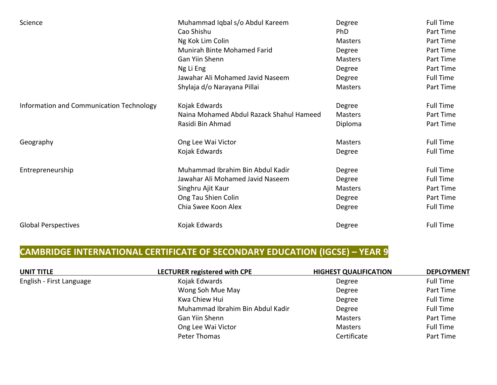| Science                                  | Muhammad Iqbal s/o Abdul Kareem          | Degree         | <b>Full Time</b> |
|------------------------------------------|------------------------------------------|----------------|------------------|
|                                          | Cao Shishu                               | <b>PhD</b>     | Part Time        |
|                                          | Ng Kok Lim Colin                         | <b>Masters</b> | Part Time        |
|                                          | Munirah Binte Mohamed Farid              | Degree         | Part Time        |
|                                          | Gan Yiin Shenn                           | <b>Masters</b> | Part Time        |
|                                          | Ng Li Eng                                | Degree         | Part Time        |
|                                          | Jawahar Ali Mohamed Javid Naseem         | Degree         | <b>Full Time</b> |
|                                          | Shylaja d/o Narayana Pillai              | <b>Masters</b> | Part Time        |
| Information and Communication Technology | Kojak Edwards                            | Degree         | <b>Full Time</b> |
|                                          | Naina Mohamed Abdul Razack Shahul Hameed | <b>Masters</b> | Part Time        |
|                                          | Rasidi Bin Ahmad                         | Diploma        | Part Time        |
| Geography                                | Ong Lee Wai Victor                       | <b>Masters</b> | <b>Full Time</b> |
|                                          | Kojak Edwards                            | Degree         | <b>Full Time</b> |
| Entrepreneurship                         | Muhammad Ibrahim Bin Abdul Kadir         | Degree         | <b>Full Time</b> |
|                                          | Jawahar Ali Mohamed Javid Naseem         | Degree         | <b>Full Time</b> |
|                                          | Singhru Ajit Kaur                        | <b>Masters</b> | Part Time        |
|                                          | Ong Tau Shien Colin                      | Degree         | Part Time        |
|                                          | Chia Swee Koon Alex                      | Degree         | <b>Full Time</b> |
| <b>Global Perspectives</b>               | Kojak Edwards                            | Degree         | <b>Full Time</b> |

## **CAMBRIDGE INTERNATIONAL CERTIFICATE OF SECONDARY EDUCATION (IGCSE) - YEAR 9**

| UNIT TITLE               | LECTURER registered with CPE     | <b>HIGHEST QUALIFICATION</b> | <b>DEPLOYMENT</b> |
|--------------------------|----------------------------------|------------------------------|-------------------|
| English - First Language | Kojak Edwards                    | Degree                       | <b>Full Time</b>  |
|                          | Wong Soh Mue May                 | Degree                       | Part Time         |
|                          | Kwa Chiew Hui                    | Degree                       | <b>Full Time</b>  |
|                          | Muhammad Ibrahim Bin Abdul Kadir | Degree                       | <b>Full Time</b>  |
|                          | Gan Yiin Shenn                   | <b>Masters</b>               | Part Time         |
|                          | Ong Lee Wai Victor               | <b>Masters</b>               | <b>Full Time</b>  |
|                          | Peter Thomas                     | Certificate                  | Part Time         |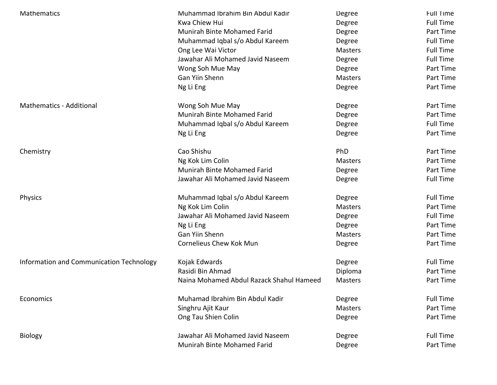| <b>Mathematics</b>                       | Muhammad Ibrahim Bin Abdul Kadir         | Degree         | <b>Full Time</b> |
|------------------------------------------|------------------------------------------|----------------|------------------|
|                                          | Kwa Chiew Hui                            | Degree         | <b>Full Time</b> |
|                                          | Munirah Binte Mohamed Farid              | Degree         | Part Time        |
|                                          | Muhammad Iqbal s/o Abdul Kareem          | Degree         | <b>Full Time</b> |
|                                          | Ong Lee Wai Victor                       | <b>Masters</b> | <b>Full Time</b> |
|                                          | Jawahar Ali Mohamed Javid Naseem         | Degree         | <b>Full Time</b> |
|                                          | Wong Soh Mue May                         | Degree         | Part Time        |
|                                          | <b>Gan Yiin Shenn</b>                    | <b>Masters</b> | Part Time        |
|                                          | Ng Li Eng                                | Degree         | Part Time        |
| <b>Mathematics - Additional</b>          | Wong Soh Mue May                         | Degree         | Part Time        |
|                                          | Munirah Binte Mohamed Farid              | Degree         | Part Time        |
|                                          | Muhammad Iqbal s/o Abdul Kareem          | Degree         | <b>Full Time</b> |
|                                          | Ng Li Eng                                | Degree         | Part Time        |
| Chemistry                                | Cao Shishu                               | PhD            | Part Time        |
|                                          | Ng Kok Lim Colin                         | <b>Masters</b> | Part Time        |
|                                          | Munirah Binte Mohamed Farid              | Degree         | Part Time        |
|                                          | Jawahar Ali Mohamed Javid Naseem         | Degree         | <b>Full Time</b> |
| <b>Physics</b>                           | Muhammad Iqbal s/o Abdul Kareem          | Degree         | <b>Full Time</b> |
|                                          | Ng Kok Lim Colin                         | <b>Masters</b> | Part Time        |
|                                          | Jawahar Ali Mohamed Javid Naseem         | Degree         | <b>Full Time</b> |
|                                          | Ng Li Eng                                | Degree         | Part Time        |
|                                          | Gan Yiin Shenn                           | Masters        | Part Time        |
|                                          | <b>Cornelieus Chew Kok Mun</b>           | Degree         | Part Time        |
| Information and Communication Technology | Kojak Edwards                            | Degree         | <b>Full Time</b> |
|                                          | Rasidi Bin Ahmad                         | Diploma        | Part Time        |
|                                          | Naina Mohamed Abdul Razack Shahul Hameed | <b>Masters</b> | Part Time        |
| Economics                                | Muhamad Ibrahim Bin Abdul Kadir          | Degree         | <b>Full Time</b> |
|                                          | Singhru Ajit Kaur                        | Masters        | Part Time        |
|                                          | Ong Tau Shien Colin                      | Degree         | Part Time        |
| <b>Biology</b>                           | Jawahar Ali Mohamed Javid Naseem         | Degree         | <b>Full Time</b> |
|                                          | Munirah Binte Mohamed Farid              | Degree         | Part Time        |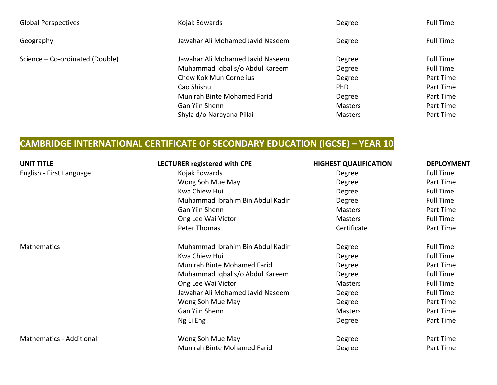| <b>Global Perspectives</b>      | Kojak Edwards                                                                                                                                                                                    | Degree                                                                                 | <b>Full Time</b>                                                                                      |
|---------------------------------|--------------------------------------------------------------------------------------------------------------------------------------------------------------------------------------------------|----------------------------------------------------------------------------------------|-------------------------------------------------------------------------------------------------------|
| Geography                       | Jawahar Ali Mohamed Javid Naseem                                                                                                                                                                 | Degree                                                                                 | <b>Full Time</b>                                                                                      |
| Science - Co-ordinated (Double) | Jawahar Ali Mohamed Javid Naseem<br>Muhammad Iqbal s/o Abdul Kareem<br>Chew Kok Mun Cornelius<br>Cao Shishu<br>Munirah Binte Mohamed Farid<br><b>Gan Yiin Shenn</b><br>Shyla d/o Narayana Pillai | Degree<br>Degree<br>Degree<br><b>PhD</b><br>Degree<br><b>Masters</b><br><b>Masters</b> | <b>Full Time</b><br><b>Full Time</b><br>Part Time<br>Part Time<br>Part Time<br>Part Time<br>Part Time |

## **CAMBRIDGE INTERNATIONAL CERTIFICATE OF SECONDARY EDUCATION (IGCSE) - YEAR 10**

| <b>UNIT TITLE</b>               | <b>LECTURER registered with CPE</b> | <b>HIGHEST QUALIFICATION</b> | <b>DEPLOYMENT</b> |
|---------------------------------|-------------------------------------|------------------------------|-------------------|
| English - First Language        | Kojak Edwards                       | Degree                       | <b>Full Time</b>  |
|                                 | Wong Soh Mue May                    | Degree                       | Part Time         |
|                                 | Kwa Chiew Hui                       | Degree                       | <b>Full Time</b>  |
|                                 | Muhammad Ibrahim Bin Abdul Kadir    | Degree                       | <b>Full Time</b>  |
|                                 | Gan Yiin Shenn                      | Masters                      | Part Time         |
|                                 | Ong Lee Wai Victor                  | <b>Masters</b>               | <b>Full Time</b>  |
|                                 | Peter Thomas                        | Certificate                  | Part Time         |
| <b>Mathematics</b>              | Muhammad Ibrahim Bin Abdul Kadir    | Degree                       | <b>Full Time</b>  |
|                                 | Kwa Chiew Hui                       | Degree                       | <b>Full Time</b>  |
|                                 | Munirah Binte Mohamed Farid         | Degree                       | Part Time         |
|                                 | Muhammad Iqbal s/o Abdul Kareem     | Degree                       | <b>Full Time</b>  |
|                                 | Ong Lee Wai Victor                  | <b>Masters</b>               | <b>Full Time</b>  |
|                                 | Jawahar Ali Mohamed Javid Naseem    | Degree                       | <b>Full Time</b>  |
|                                 | Wong Soh Mue May                    | Degree                       | Part Time         |
|                                 | Gan Yiin Shenn                      | <b>Masters</b>               | Part Time         |
|                                 | Ng Li Eng                           | Degree                       | Part Time         |
| <b>Mathematics - Additional</b> | Wong Soh Mue May                    | Degree                       | Part Time         |
|                                 | Munirah Binte Mohamed Farid         | Degree                       | Part Time         |